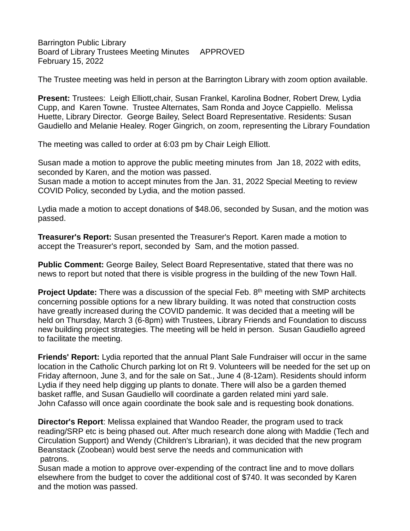Barrington Public Library Board of Library Trustees Meeting Minutes APPROVED February 15, 2022

The Trustee meeting was held in person at the Barrington Library with zoom option available.

**Present:** Trustees: Leigh Elliott,chair, Susan Frankel, Karolina Bodner, Robert Drew, Lydia Cupp, and Karen Towne. Trustee Alternates, Sam Ronda and Joyce Cappiello. Melissa Huette, Library Director. George Bailey, Select Board Representative. Residents: Susan Gaudiello and Melanie Healey. Roger Gingrich, on zoom, representing the Library Foundation

The meeting was called to order at 6:03 pm by Chair Leigh Elliott.

Susan made a motion to approve the public meeting minutes from Jan 18, 2022 with edits, seconded by Karen, and the motion was passed.

Susan made a motion to accept minutes from the Jan. 31, 2022 Special Meeting to review COVID Policy, seconded by Lydia, and the motion passed.

Lydia made a motion to accept donations of \$48.06, seconded by Susan, and the motion was passed.

**Treasurer's Report:** Susan presented the Treasurer's Report. Karen made a motion to accept the Treasurer's report, seconded by Sam, and the motion passed.

**Public Comment:** George Bailey, Select Board Representative, stated that there was no news to report but noted that there is visible progress in the building of the new Town Hall.

**Project Update:** There was a discussion of the special Feb. 8<sup>th</sup> meeting with SMP architects concerning possible options for a new library building. It was noted that construction costs have greatly increased during the COVID pandemic. It was decided that a meeting will be held on Thursday, March 3 (6-8pm) with Trustees, Library Friends and Foundation to discuss new building project strategies. The meeting will be held in person. Susan Gaudiello agreed to facilitate the meeting.

**Friends' Report:** Lydia reported that the annual Plant Sale Fundraiser will occur in the same location in the Catholic Church parking lot on Rt 9. Volunteers will be needed for the set up on Friday afternoon, June 3, and for the sale on Sat., June 4 (8-12am). Residents should inform Lydia if they need help digging up plants to donate. There will also be a garden themed basket raffle, and Susan Gaudiello will coordinate a garden related mini yard sale. John Cafasso will once again coordinate the book sale and is requesting book donations.

**Director's Report**: Melissa explained that Wandoo Reader, the program used to track reading/SRP etc is being phased out. After much research done along with Maddie (Tech and Circulation Support) and Wendy (Children's Librarian), it was decided that the new program Beanstack (Zoobean) would best serve the needs and communication with patrons.

Susan made a motion to approve over-expending of the contract line and to move dollars elsewhere from the budget to cover the additional cost of \$740. It was seconded by Karen and the motion was passed.